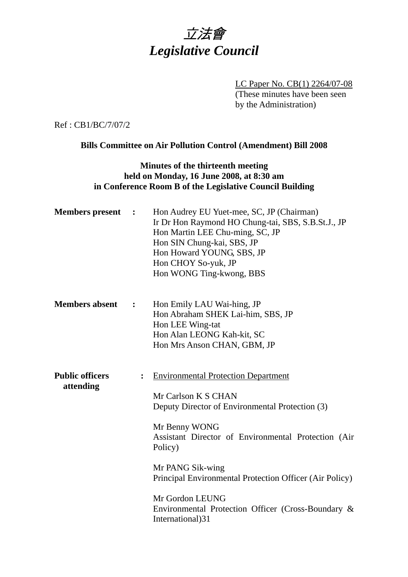

LC Paper No. CB(1) 2264/07-08 (These minutes have been seen by the Administration)

Ref : CB1/BC/7/07/2

## **Bills Committee on Air Pollution Control (Amendment) Bill 2008**

# **Minutes of the thirteenth meeting held on Monday, 16 June 2008, at 8:30 am in Conference Room B of the Legislative Council Building**

| <b>Members</b> present              | $\ddot{\phantom{1}}$ | Hon Audrey EU Yuet-mee, SC, JP (Chairman)<br>Ir Dr Hon Raymond HO Chung-tai, SBS, S.B.St.J., JP<br>Hon Martin LEE Chu-ming, SC, JP<br>Hon SIN Chung-kai, SBS, JP<br>Hon Howard YOUNG, SBS, JP<br>Hon CHOY So-yuk, JP<br>Hon WONG Ting-kwong, BBS                                                                                                                                    |
|-------------------------------------|----------------------|-------------------------------------------------------------------------------------------------------------------------------------------------------------------------------------------------------------------------------------------------------------------------------------------------------------------------------------------------------------------------------------|
| <b>Members absent</b>               | $\ddot{\cdot}$       | Hon Emily LAU Wai-hing, JP<br>Hon Abraham SHEK Lai-him, SBS, JP<br>Hon LEE Wing-tat<br>Hon Alan LEONG Kah-kit, SC<br>Hon Mrs Anson CHAN, GBM, JP                                                                                                                                                                                                                                    |
| <b>Public officers</b><br>attending |                      | <b>Environmental Protection Department</b><br>Mr Carlson K S CHAN<br>Deputy Director of Environmental Protection (3)<br>Mr Benny WONG<br>Assistant Director of Environmental Protection (Air<br>Policy)<br>Mr PANG Sik-wing<br>Principal Environmental Protection Officer (Air Policy)<br>Mr Gordon LEUNG<br>Environmental Protection Officer (Cross-Boundary &<br>International)31 |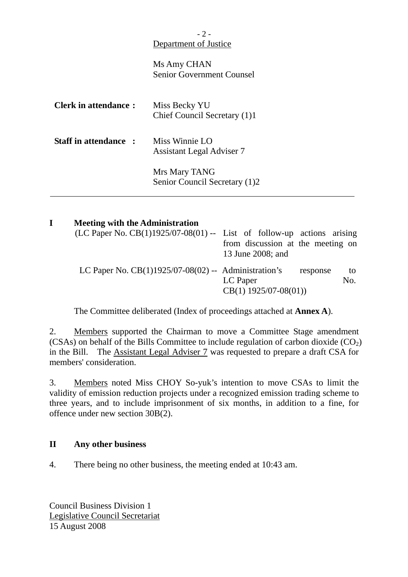# $-2-$ Department of Justice

Ms Amy CHAN Senior Government Counsel

| <b>Clerk in attendance:</b> | Miss Becky YU<br>Chief Council Secretary (1)1      |
|-----------------------------|----------------------------------------------------|
| Staff in attendance :       | Miss Winnie LO<br><b>Assistant Legal Adviser 7</b> |
|                             | Mrs Mary TANG<br>Senior Council Secretary (1)2     |

| <b>Meeting with the Administration</b>                                   |                                   |     |
|--------------------------------------------------------------------------|-----------------------------------|-----|
| (LC Paper No. $CB(1)1925/07-08(01)$ -- List of follow-up actions arising |                                   |     |
|                                                                          | from discussion at the meeting on |     |
|                                                                          | 13 June 2008; and                 |     |
| LC Paper No. $CB(1)1925/07-08(02)$ -- Administration's                   | response                          | to  |
|                                                                          | LC Paper                          | No. |
|                                                                          | $CB(1)$ 1925/07-08(01))           |     |

The Committee deliberated (Index of proceedings attached at **Annex A**).

2. Members supported the Chairman to move a Committee Stage amendment (CSAs) on behalf of the Bills Committee to include regulation of carbon dioxide  $(CO<sub>2</sub>)$ in the Bill. The Assistant Legal Adviser 7 was requested to prepare a draft CSA for members' consideration.

3. Members noted Miss CHOY So-yuk's intention to move CSAs to limit the validity of emission reduction projects under a recognized emission trading scheme to three years, and to include imprisonment of six months, in addition to a fine, for offence under new section 30B(2).

# **II Any other business**

4. There being no other business, the meeting ended at 10:43 am.

Council Business Division 1 Legislative Council Secretariat 15 August 2008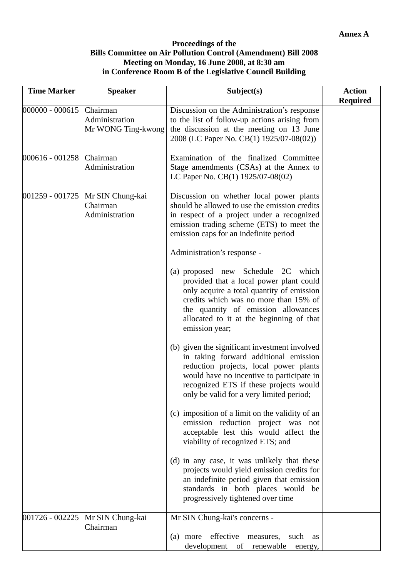#### **Proceedings of the Bills Committee on Air Pollution Control (Amendment) Bill 2008 Meeting on Monday, 16 June 2008, at 8:30 am in Conference Room B of the Legislative Council Building**

| <b>Time Marker</b> | <b>Speaker</b>                                   | Subject(s)                                                                                                                                                                                                                                                                                                                                                                                                                                                                                                              | <b>Action</b><br><b>Required</b> |
|--------------------|--------------------------------------------------|-------------------------------------------------------------------------------------------------------------------------------------------------------------------------------------------------------------------------------------------------------------------------------------------------------------------------------------------------------------------------------------------------------------------------------------------------------------------------------------------------------------------------|----------------------------------|
| 000000 - 000615    | Chairman<br>Administration<br>Mr WONG Ting-kwong | Discussion on the Administration's response<br>to the list of follow-up actions arising from<br>the discussion at the meeting on 13 June<br>2008 (LC Paper No. CB(1) 1925/07-08(02))                                                                                                                                                                                                                                                                                                                                    |                                  |
| 000616 - 001258    | Chairman<br>Administration                       | Examination of the finalized Committee<br>Stage amendments (CSAs) at the Annex to<br>LC Paper No. CB(1) 1925/07-08(02)                                                                                                                                                                                                                                                                                                                                                                                                  |                                  |
| 001259 - 001725    | Mr SIN Chung-kai<br>Chairman<br>Administration   | Discussion on whether local power plants<br>should be allowed to use the emission credits<br>in respect of a project under a recognized<br>emission trading scheme (ETS) to meet the<br>emission caps for an indefinite period<br>Administration's response -<br>(a) proposed new Schedule 2C which<br>provided that a local power plant could<br>only acquire a total quantity of emission<br>credits which was no more than 15% of<br>the quantity of emission allowances<br>allocated to it at the beginning of that |                                  |
|                    |                                                  | emission year;<br>(b) given the significant investment involved<br>in taking forward additional emission<br>reduction projects, local power plants<br>would have no incentive to participate in<br>recognized ETS if these projects would<br>only be valid for a very limited period;<br>(c) imposition of a limit on the validity of an<br>emission reduction project was not<br>acceptable lest this would affect the                                                                                                 |                                  |
|                    |                                                  | viability of recognized ETS; and<br>(d) in any case, it was unlikely that these<br>projects would yield emission credits for<br>an indefinite period given that emission<br>standards in both places would be<br>progressively tightened over time                                                                                                                                                                                                                                                                      |                                  |
| 001726 - 002225    | Mr SIN Chung-kai<br>Chairman                     | Mr SIN Chung-kai's concerns -<br>(a) more effective<br>such<br>measures,<br>as<br>development<br>of<br>renewable<br>energy,                                                                                                                                                                                                                                                                                                                                                                                             |                                  |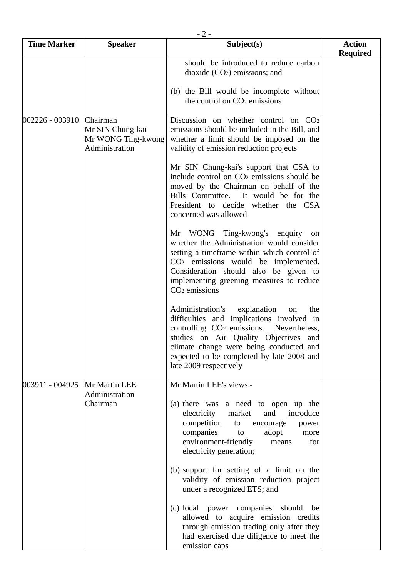| $-2-$              |                                                                      |                                                                                                                                                                                                                                                                                                              |                                  |
|--------------------|----------------------------------------------------------------------|--------------------------------------------------------------------------------------------------------------------------------------------------------------------------------------------------------------------------------------------------------------------------------------------------------------|----------------------------------|
| <b>Time Marker</b> | <b>Speaker</b>                                                       | Subject(s)                                                                                                                                                                                                                                                                                                   | <b>Action</b><br><b>Required</b> |
|                    |                                                                      | should be introduced to reduce carbon<br>dioxide $(CO2)$ emissions; and                                                                                                                                                                                                                                      |                                  |
|                    |                                                                      | (b) the Bill would be incomplete without<br>the control on CO <sub>2</sub> emissions                                                                                                                                                                                                                         |                                  |
| 002226 - 003910    | Chairman<br>Mr SIN Chung-kai<br>Mr WONG Ting-kwong<br>Administration | Discussion on whether control on $CO2$<br>emissions should be included in the Bill, and<br>whether a limit should be imposed on the<br>validity of emission reduction projects                                                                                                                               |                                  |
|                    |                                                                      | Mr SIN Chung-kai's support that CSA to<br>include control on CO <sub>2</sub> emissions should be<br>moved by the Chairman on behalf of the<br>Bills Committee.<br>It would be for the<br>President to decide whether the CSA<br>concerned was allowed                                                        |                                  |
|                    |                                                                      | Mr WONG Ting-kwong's enquiry on<br>whether the Administration would consider<br>setting a timeframe within which control of<br>CO <sub>2</sub> emissions would be implemented.<br>Consideration should also be given to<br>implementing greening measures to reduce<br>$CO2$ emissions                       |                                  |
|                    |                                                                      | Administration's explanation<br>the<br>on<br>difficulties and implications involved in<br>controlling CO <sub>2</sub> emissions.<br>Nevertheless,<br>studies on Air Quality Objectives and<br>climate change were being conducted and<br>expected to be completed by late 2008 and<br>late 2009 respectively |                                  |
| 003911 - 004925    | Mr Martin LEE                                                        | Mr Martin LEE's views -                                                                                                                                                                                                                                                                                      |                                  |
|                    | Administration<br>Chairman                                           | (a) there was a need to open up the<br>electricity<br>market<br>and<br>introduce<br>competition<br>encourage<br>to<br>power<br>companies<br>adopt<br>to<br>more<br>environment-friendly<br>for<br>means<br>electricity generation;                                                                           |                                  |
|                    |                                                                      | (b) support for setting of a limit on the<br>validity of emission reduction project<br>under a recognized ETS; and                                                                                                                                                                                           |                                  |
|                    |                                                                      | (c) local power companies should<br>be<br>allowed to acquire emission credits<br>through emission trading only after they<br>had exercised due diligence to meet the<br>emission caps                                                                                                                        |                                  |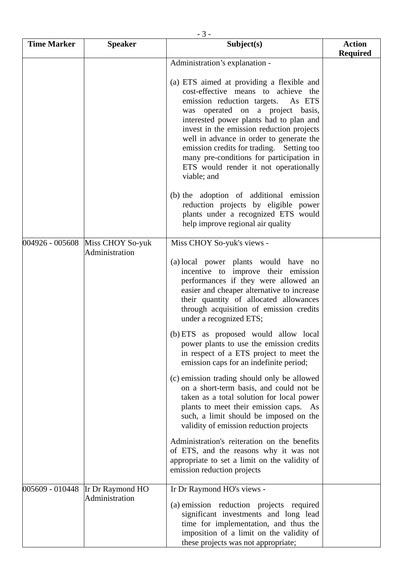|                    | $-3-$                              |                                                                                                                                                                                                                                                                                                                                                                                                                                                                                                                                                                                                                                                                                                                                                                                                                                                                                                                                            |                                  |  |
|--------------------|------------------------------------|--------------------------------------------------------------------------------------------------------------------------------------------------------------------------------------------------------------------------------------------------------------------------------------------------------------------------------------------------------------------------------------------------------------------------------------------------------------------------------------------------------------------------------------------------------------------------------------------------------------------------------------------------------------------------------------------------------------------------------------------------------------------------------------------------------------------------------------------------------------------------------------------------------------------------------------------|----------------------------------|--|
| <b>Time Marker</b> | <b>Speaker</b>                     | Subject(s)                                                                                                                                                                                                                                                                                                                                                                                                                                                                                                                                                                                                                                                                                                                                                                                                                                                                                                                                 | <b>Action</b><br><b>Required</b> |  |
|                    |                                    | Administration's explanation -<br>(a) ETS aimed at providing a flexible and<br>cost-effective means to achieve the<br>emission reduction targets.<br>As ETS<br>was operated on a project basis,<br>interested power plants had to plan and<br>invest in the emission reduction projects<br>well in advance in order to generate the<br>emission credits for trading. Setting too<br>many pre-conditions for participation in<br>ETS would render it not operationally<br>viable; and<br>(b) the adoption of additional emission<br>reduction projects by eligible power<br>plants under a recognized ETS would<br>help improve regional air quality                                                                                                                                                                                                                                                                                        |                                  |  |
| 004926 - 005608    | Miss CHOY So-yuk<br>Administration | Miss CHOY So-yuk's views -<br>(a) local power plants would have no<br>incentive to improve their emission<br>performances if they were allowed an<br>easier and cheaper alternative to increase<br>their quantity of allocated allowances<br>through acquisition of emission credits<br>under a recognized ETS;<br>(b) ETS as proposed would allow local<br>power plants to use the emission credits<br>in respect of a ETS project to meet the<br>emission caps for an indefinite period;<br>(c) emission trading should only be allowed<br>on a short-term basis, and could not be<br>taken as a total solution for local power<br>plants to meet their emission caps. As<br>such, a limit should be imposed on the<br>validity of emission reduction projects<br>Administration's reiteration on the benefits<br>of ETS, and the reasons why it was not<br>appropriate to set a limit on the validity of<br>emission reduction projects |                                  |  |
| 005609 - 010448    | Ir Dr Raymond HO<br>Administration | Ir Dr Raymond HO's views -<br>(a) emission reduction projects required<br>significant investments and long lead<br>time for implementation, and thus the<br>imposition of a limit on the validity of<br>these projects was not appropriate;                                                                                                                                                                                                                                                                                                                                                                                                                                                                                                                                                                                                                                                                                                |                                  |  |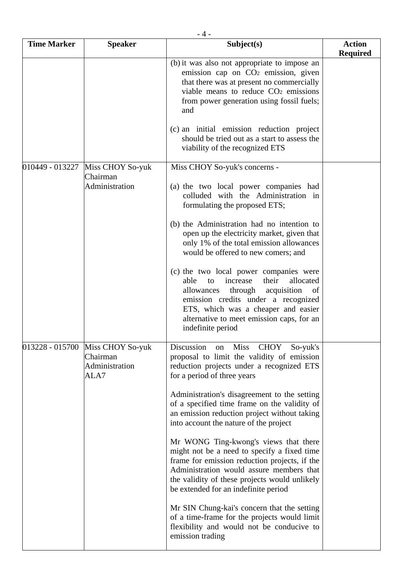| $-4-$              |                                                        |                                                                                                                                                                                                                                                                                      |                                  |
|--------------------|--------------------------------------------------------|--------------------------------------------------------------------------------------------------------------------------------------------------------------------------------------------------------------------------------------------------------------------------------------|----------------------------------|
| <b>Time Marker</b> | <b>Speaker</b>                                         | Subject(s)                                                                                                                                                                                                                                                                           | <b>Action</b><br><b>Required</b> |
|                    |                                                        | (b) it was also not appropriate to impose an<br>emission cap on CO <sub>2</sub> emission, given<br>that there was at present no commercially<br>viable means to reduce CO <sub>2</sub> emissions<br>from power generation using fossil fuels;<br>and                                 |                                  |
|                    |                                                        | (c) an initial emission reduction project<br>should be tried out as a start to assess the<br>viability of the recognized ETS                                                                                                                                                         |                                  |
| 010449 - 013227    | Miss CHOY So-yuk<br>Chairman<br>Administration         | Miss CHOY So-yuk's concerns -<br>(a) the two local power companies had<br>colluded with the Administration in<br>formulating the proposed ETS;                                                                                                                                       |                                  |
|                    |                                                        | (b) the Administration had no intention to<br>open up the electricity market, given that<br>only 1% of the total emission allowances<br>would be offered to new comers; and                                                                                                          |                                  |
|                    |                                                        | (c) the two local power companies were<br>allocated<br>able<br>increase<br>their<br>to<br>through<br>acquisition<br>allowances<br>of<br>emission credits under a recognized<br>ETS, which was a cheaper and easier<br>alternative to meet emission caps, for an<br>indefinite period |                                  |
| 013228 - 015700    | Miss CHOY So-yuk<br>Chairman<br>Administration<br>ALA7 | Discussion<br><b>Miss</b><br><b>CHOY</b><br>So-yuk's<br>on<br>proposal to limit the validity of emission<br>reduction projects under a recognized ETS<br>for a period of three years                                                                                                 |                                  |
|                    |                                                        | Administration's disagreement to the setting<br>of a specified time frame on the validity of<br>an emission reduction project without taking<br>into account the nature of the project                                                                                               |                                  |
|                    |                                                        | Mr WONG Ting-kwong's views that there<br>might not be a need to specify a fixed time<br>frame for emission reduction projects, if the<br>Administration would assure members that<br>the validity of these projects would unlikely<br>be extended for an indefinite period           |                                  |
|                    |                                                        | Mr SIN Chung-kai's concern that the setting<br>of a time-frame for the projects would limit<br>flexibility and would not be conducive to<br>emission trading                                                                                                                         |                                  |